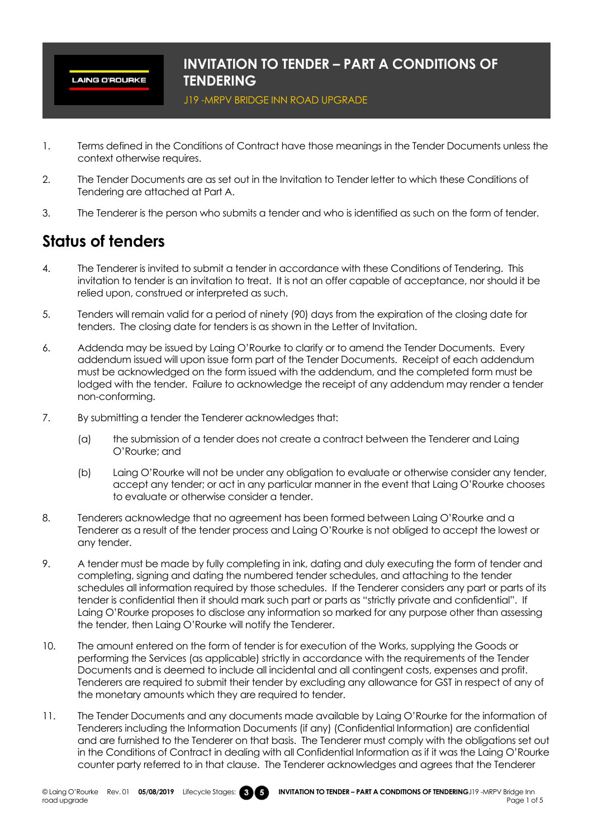**LAING O'ROURKE** 

#### **INVITATION TO TENDER – PART A CONDITIONS OF TENDERING**

J19 -MRPV BRIDGE INN ROAD UPGRADE

- 1. Terms defined in the Conditions of Contract have those meanings in the Tender Documents unless the context otherwise requires.
- 2. The Tender Documents are as set out in the Invitation to Tender letter to which these Conditions of Tendering are attached at Part A.
- 3. The Tenderer is the person who submits a tender and who is identified as such on the form of tender.

# **Status of tenders**

- 4. The Tenderer is invited to submit a tender in accordance with these Conditions of Tendering. This invitation to tender is an invitation to treat. It is not an offer capable of acceptance, nor should it be relied upon, construed or interpreted as such.
- 5. Tenders will remain valid for a period of ninety (90) days from the expiration of the closing date for tenders. The closing date for tenders is as shown in the Letter of Invitation.
- 6. Addenda may be issued by Laing O'Rourke to clarify or to amend the Tender Documents. Every addendum issued will upon issue form part of the Tender Documents. Receipt of each addendum must be acknowledged on the form issued with the addendum, and the completed form must be lodged with the tender. Failure to acknowledge the receipt of any addendum may render a tender non-conforming.
- 7. By submitting a tender the Tenderer acknowledges that:
	- (a) the submission of a tender does not create a contract between the Tenderer and Laing O'Rourke; and
	- (b) Laing O'Rourke will not be under any obligation to evaluate or otherwise consider any tender, accept any tender; or act in any particular manner in the event that Laing O'Rourke chooses to evaluate or otherwise consider a tender.
- 8. Tenderers acknowledge that no agreement has been formed between Laing O'Rourke and a Tenderer as a result of the tender process and Laing O'Rourke is not obliged to accept the lowest or any tender.
- 9. A tender must be made by fully completing in ink, dating and duly executing the form of tender and completing, signing and dating the numbered tender schedules, and attaching to the tender schedules all information required by those schedules. If the Tenderer considers any part or parts of its tender is confidential then it should mark such part or parts as "strictly private and confidential". If Laing O'Rourke proposes to disclose any information so marked for any purpose other than assessing the tender, then Laing O'Rourke will notify the Tenderer.
- 10. The amount entered on the form of tender is for execution of the Works, supplying the Goods or performing the Services (as applicable) strictly in accordance with the requirements of the Tender Documents and is deemed to include all incidental and all contingent costs, expenses and profit. Tenderers are required to submit their tender by excluding any allowance for GST in respect of any of the monetary amounts which they are required to tender.
- 11. The Tender Documents and any documents made available by Laing O'Rourke for the information of Tenderers including the Information Documents (if any) (Confidential Information) are confidential and are furnished to the Tenderer on that basis. The Tenderer must comply with the obligations set out in the Conditions of Contract in dealing with all Confidential Information as if it was the Laing O'Rourke counter party referred to in that clause. The Tenderer acknowledges and agrees that the Tenderer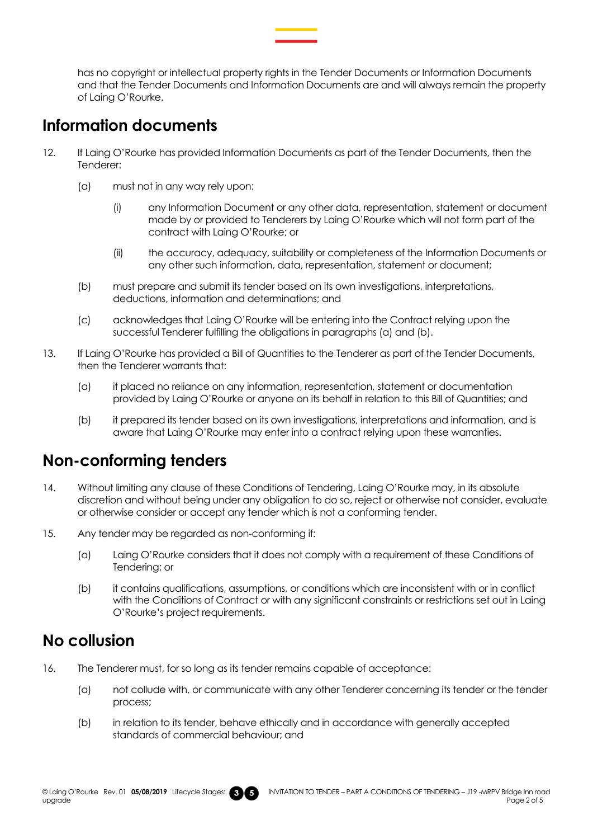has no copyright or intellectual property rights in the Tender Documents or Information Documents and that the Tender Documents and Information Documents are and will always remain the property of Laing O'Rourke.

### **Information documents**

- 12. If Laing O'Rourke has provided Information Documents as part of the Tender Documents, then the Tenderer:
	- (a) must not in any way rely upon:
		- (i) any Information Document or any other data, representation, statement or document made by or provided to Tenderers by Laing O'Rourke which will not form part of the contract with Laing O'Rourke; or
		- (ii) the accuracy, adequacy, suitability or completeness of the Information Documents or any other such information, data, representation, statement or document;
	- (b) must prepare and submit its tender based on its own investigations, interpretations, deductions, information and determinations; and
	- (c) acknowledges that Laing O'Rourke will be entering into the Contract relying upon the successful Tenderer fulfilling the obligations in paragraphs (a) and (b).
- 13. If Laing O'Rourke has provided a Bill of Quantities to the Tenderer as part of the Tender Documents, then the Tenderer warrants that:
	- (a) it placed no reliance on any information, representation, statement or documentation provided by Laing O'Rourke or anyone on its behalf in relation to this Bill of Quantities; and
	- (b) it prepared its tender based on its own investigations, interpretations and information, and is aware that Laing O'Rourke may enter into a contract relying upon these warranties.

### **Non-conforming tenders**

- 14. Without limiting any clause of these Conditions of Tendering, Laing O'Rourke may, in its absolute discretion and without being under any obligation to do so, reject or otherwise not consider, evaluate or otherwise consider or accept any tender which is not a conforming tender.
- 15. Any tender may be regarded as non-conforming if:
	- (a) Laing O'Rourke considers that it does not comply with a requirement of these Conditions of Tendering; or
	- (b) it contains qualifications, assumptions, or conditions which are inconsistent with or in conflict with the Conditions of Contract or with any significant constraints or restrictions set out in Laing O'Rourke's project requirements.

### **No collusion**

- 16. The Tenderer must, for so long as its tender remains capable of acceptance:
	- (a) not collude with, or communicate with any other Tenderer concerning its tender or the tender process;
	- (b) in relation to its tender, behave ethically and in accordance with generally accepted standards of commercial behaviour; and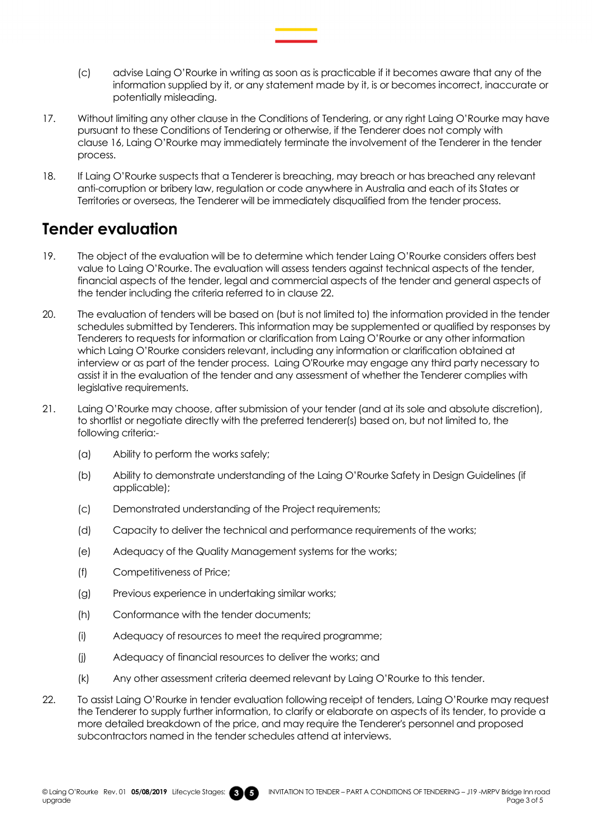- (c) advise Laing O'Rourke in writing as soon as is practicable if it becomes aware that any of the information supplied by it, or any statement made by it, is or becomes incorrect, inaccurate or potentially misleading.
- 17. Without limiting any other clause in the Conditions of Tendering, or any right Laing O'Rourke may have pursuant to these Conditions of Tendering or otherwise, if the Tenderer does not comply with clause 16, Laing O'Rourke may immediately terminate the involvement of the Tenderer in the tender process.
- 18. If Laing O'Rourke suspects that a Tenderer is breaching, may breach or has breached any relevant anti-corruption or bribery law, regulation or code anywhere in Australia and each of its States or Territories or overseas, the Tenderer will be immediately disqualified from the tender process.

### **Tender evaluation**

- 19. The object of the evaluation will be to determine which tender Laing O'Rourke considers offers best value to Laing O'Rourke. The evaluation will assess tenders against technical aspects of the tender, financial aspects of the tender, legal and commercial aspects of the tender and general aspects of the tender including the criteria referred to in clause 22.
- 20. The evaluation of tenders will be based on (but is not limited to) the information provided in the tender schedules submitted by Tenderers. This information may be supplemented or qualified by responses by Tenderers to requests for information or clarification from Laing O'Rourke or any other information which Laing O'Rourke considers relevant, including any information or clarification obtained at interview or as part of the tender process. Laing O'Rourke may engage any third party necessary to assist it in the evaluation of the tender and any assessment of whether the Tenderer complies with legislative requirements.
- 21. Laing O'Rourke may choose, after submission of your tender (and at its sole and absolute discretion), to shortlist or negotiate directly with the preferred tenderer(s) based on, but not limited to, the following criteria:-
	- (a) Ability to perform the works safely;
	- (b) Ability to demonstrate understanding of the Laing O'Rourke Safety in Design Guidelines (if applicable);
	- (c) Demonstrated understanding of the Project requirements;
	- (d) Capacity to deliver the technical and performance requirements of the works;
	- (e) Adequacy of the Quality Management systems for the works;
	- (f) Competitiveness of Price;
	- (g) Previous experience in undertaking similar works;
	- (h) Conformance with the tender documents;
	- (i) Adequacy of resources to meet the required programme;
	- (j) Adequacy of financial resources to deliver the works; and
	- (k) Any other assessment criteria deemed relevant by Laing O'Rourke to this tender.
- 22. To assist Laing O'Rourke in tender evaluation following receipt of tenders, Laing O'Rourke may request the Tenderer to supply further information, to clarify or elaborate on aspects of its tender, to provide a more detailed breakdown of the price, and may require the Tenderer's personnel and proposed subcontractors named in the tender schedules attend at interviews.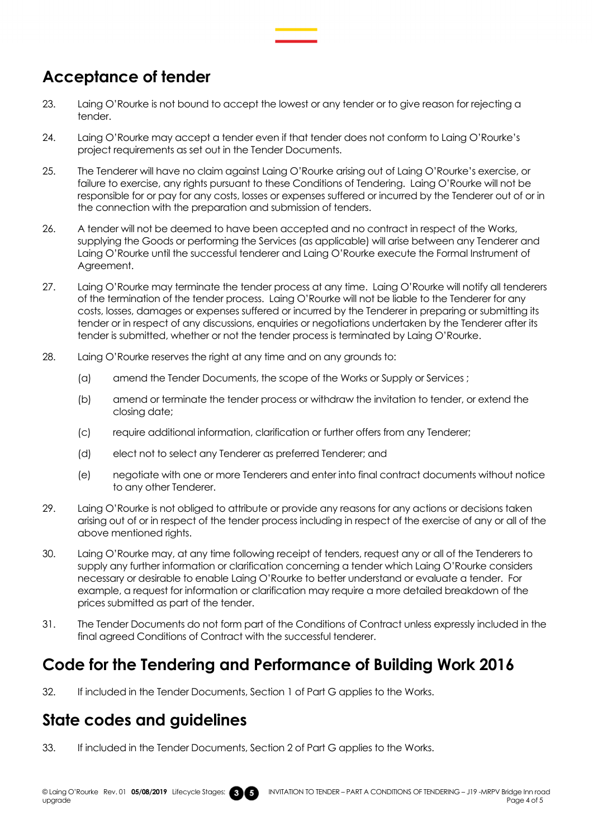## **Acceptance of tender**

- 23. Laing O'Rourke is not bound to accept the lowest or any tender or to give reason for rejecting a tender.
- 24. Laing O'Rourke may accept a tender even if that tender does not conform to Laing O'Rourke's project requirements as set out in the Tender Documents.
- 25. The Tenderer will have no claim against Laing O'Rourke arising out of Laing O'Rourke's exercise, or failure to exercise, any rights pursuant to these Conditions of Tendering. Laing O'Rourke will not be responsible for or pay for any costs, losses or expenses suffered or incurred by the Tenderer out of or in the connection with the preparation and submission of tenders.
- 26. A tender will not be deemed to have been accepted and no contract in respect of the Works, supplying the Goods or performing the Services (as applicable) will arise between any Tenderer and Laing O'Rourke until the successful tenderer and Laing O'Rourke execute the Formal Instrument of Agreement.
- 27. Laing O'Rourke may terminate the tender process at any time. Laing O'Rourke will notify all tenderers of the termination of the tender process. Laing O'Rourke will not be liable to the Tenderer for any costs, losses, damages or expenses suffered or incurred by the Tenderer in preparing or submitting its tender or in respect of any discussions, enquiries or negotiations undertaken by the Tenderer after its tender is submitted, whether or not the tender process is terminated by Laing O'Rourke.
- 28. Laing O'Rourke reserves the right at any time and on any grounds to:
	- (a) amend the Tender Documents, the scope of the Works or Supply or Services ;
	- (b) amend or terminate the tender process or withdraw the invitation to tender, or extend the closing date;
	- (c) require additional information, clarification or further offers from any Tenderer;
	- (d) elect not to select any Tenderer as preferred Tenderer; and
	- (e) negotiate with one or more Tenderers and enter into final contract documents without notice to any other Tenderer.
- 29. Laing O'Rourke is not obliged to attribute or provide any reasons for any actions or decisions taken arising out of or in respect of the tender process including in respect of the exercise of any or all of the above mentioned rights.
- 30. Laing O'Rourke may, at any time following receipt of tenders, request any or all of the Tenderers to supply any further information or clarification concerning a tender which Laing O'Rourke considers necessary or desirable to enable Laing O'Rourke to better understand or evaluate a tender. For example, a request for information or clarification may require a more detailed breakdown of the prices submitted as part of the tender.
- 31. The Tender Documents do not form part of the Conditions of Contract unless expressly included in the final agreed Conditions of Contract with the successful tenderer.

### **Code for the Tendering and Performance of Building Work 2016**

32. If included in the Tender Documents, Section 1 of Part G applies to the Works.

### **State codes and guidelines**

33. If included in the Tender Documents, Section 2 of Part G applies to the Works.